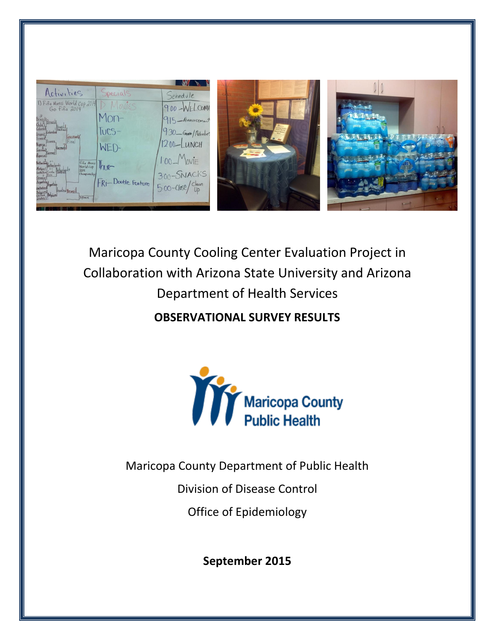

Maricopa County Cooling Center Evaluation Project in Collaboration with Arizona State University and Arizona Department of Health Services **OBSERVATIONAL SURVEY RESULTS** 

Maricopa County Department of Public Health

Division of Disease Control

Office of Epidemiology

**September 2015**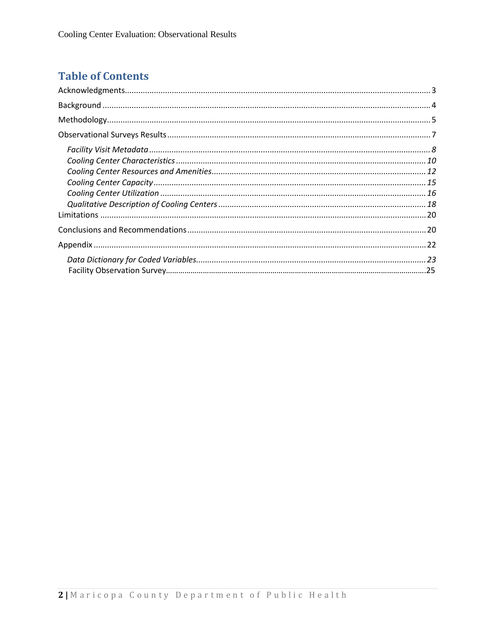# **Table of Contents**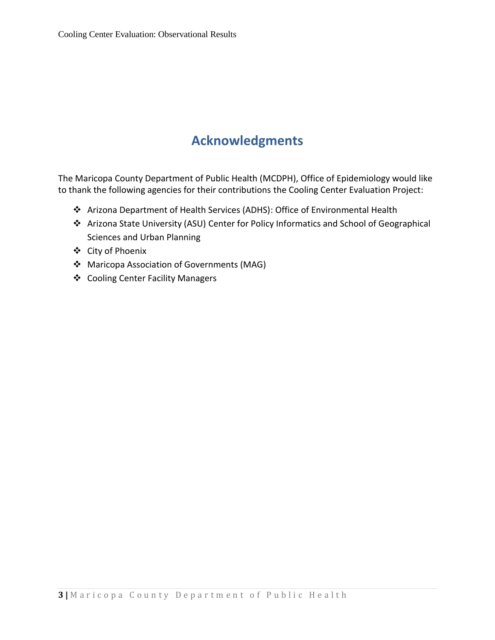# **Acknowledgments**

<span id="page-2-0"></span>The Maricopa County Department of Public Health (MCDPH), Office of Epidemiology would like to thank the following agencies for their contributions the Cooling Center Evaluation Project:

- Arizona Department of Health Services (ADHS): Office of Environmental Health
- Arizona State University (ASU) Center for Policy Informatics and School of Geographical Sciences and Urban Planning
- City of Phoenix
- Maricopa Association of Governments (MAG)
- Cooling Center Facility Managers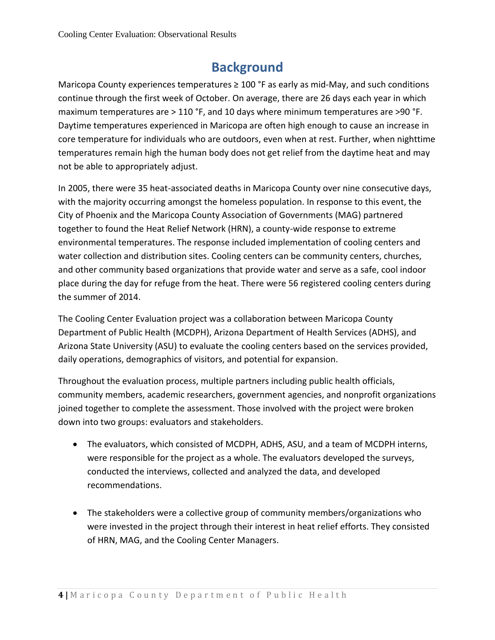# **Background**

<span id="page-3-0"></span>Maricopa County experiences temperatures  $\geq 100$  °F as early as mid-May, and such conditions continue through the first week of October. On average, there are 26 days each year in which maximum temperatures are  $>$  110 °F, and 10 days where minimum temperatures are  $>$ 90 °F. Daytime temperatures experienced in Maricopa are often high enough to cause an increase in core temperature for individuals who are outdoors, even when at rest. Further, when nighttime temperatures remain high the human body does not get relief from the daytime heat and may not be able to appropriately adjust.

In 2005, there were 35 heat-associated deaths in Maricopa County over nine consecutive days, with the majority occurring amongst the homeless population. In response to this event, the City of Phoenix and the Maricopa County Association of Governments (MAG) partnered together to found the Heat Relief Network (HRN), a county-wide response to extreme environmental temperatures. The response included implementation of cooling centers and water collection and distribution sites. Cooling centers can be community centers, churches, and other community based organizations that provide water and serve as a safe, cool indoor place during the day for refuge from the heat. There were 56 registered cooling centers during the summer of 2014.

The Cooling Center Evaluation project was a collaboration between Maricopa County Department of Public Health (MCDPH), Arizona Department of Health Services (ADHS), and Arizona State University (ASU) to evaluate the cooling centers based on the services provided, daily operations, demographics of visitors, and potential for expansion.

Throughout the evaluation process, multiple partners including public health officials, community members, academic researchers, government agencies, and nonprofit organizations joined together to complete the assessment. Those involved with the project were broken down into two groups: evaluators and stakeholders.

- The evaluators, which consisted of MCDPH, ADHS, ASU, and a team of MCDPH interns, were responsible for the project as a whole. The evaluators developed the surveys, conducted the interviews, collected and analyzed the data, and developed recommendations.
- The stakeholders were a collective group of community members/organizations who were invested in the project through their interest in heat relief efforts. They consisted of HRN, MAG, and the Cooling Center Managers.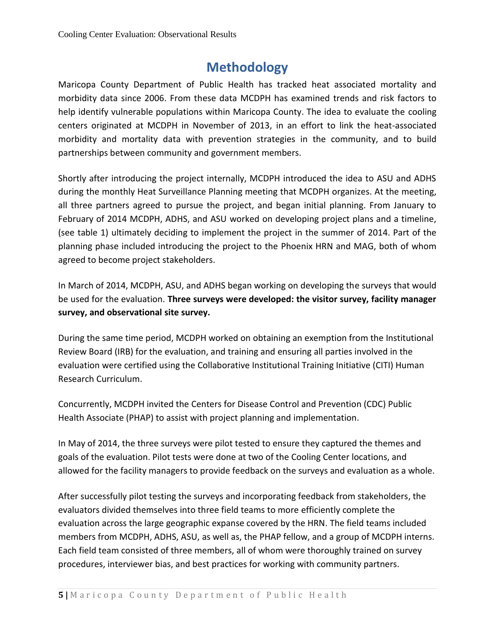# **Methodology**

<span id="page-4-0"></span>Maricopa County Department of Public Health has tracked heat associated mortality and morbidity data since 2006. From these data MCDPH has examined trends and risk factors to help identify vulnerable populations within Maricopa County. The idea to evaluate the cooling centers originated at MCDPH in November of 2013, in an effort to link the heat-associated morbidity and mortality data with prevention strategies in the community, and to build partnerships between community and government members.

Shortly after introducing the project internally, MCDPH introduced the idea to ASU and ADHS during the monthly Heat Surveillance Planning meeting that MCDPH organizes. At the meeting, all three partners agreed to pursue the project, and began initial planning. From January to February of 2014 MCDPH, ADHS, and ASU worked on developing project plans and a timeline, (see table 1) ultimately deciding to implement the project in the summer of 2014. Part of the planning phase included introducing the project to the Phoenix HRN and MAG, both of whom agreed to become project stakeholders.

In March of 2014, MCDPH, ASU, and ADHS began working on developing the surveys that would be used for the evaluation. **Three surveys were developed: the visitor survey, facility manager survey, and observational site survey.**

During the same time period, MCDPH worked on obtaining an exemption from the Institutional Review Board (IRB) for the evaluation, and training and ensuring all parties involved in the evaluation were certified using the Collaborative Institutional Training Initiative (CITI) Human Research Curriculum.

Concurrently, MCDPH invited the Centers for Disease Control and Prevention (CDC) Public Health Associate (PHAP) to assist with project planning and implementation.

In May of 2014, the three surveys were pilot tested to ensure they captured the themes and goals of the evaluation. Pilot tests were done at two of the Cooling Center locations, and allowed for the facility managers to provide feedback on the surveys and evaluation as a whole.

After successfully pilot testing the surveys and incorporating feedback from stakeholders, the evaluators divided themselves into three field teams to more efficiently complete the evaluation across the large geographic expanse covered by the HRN. The field teams included members from MCDPH, ADHS, ASU, as well as, the PHAP fellow, and a group of MCDPH interns. Each field team consisted of three members, all of whom were thoroughly trained on survey procedures, interviewer bias, and best practices for working with community partners.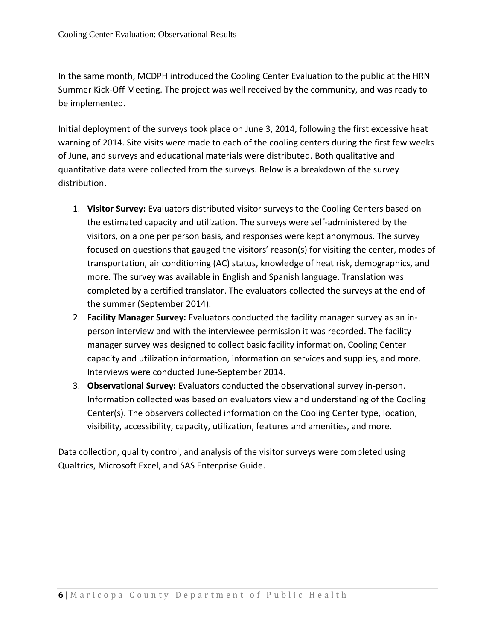In the same month, MCDPH introduced the Cooling Center Evaluation to the public at the HRN Summer Kick-Off Meeting. The project was well received by the community, and was ready to be implemented.

Initial deployment of the surveys took place on June 3, 2014, following the first excessive heat warning of 2014. Site visits were made to each of the cooling centers during the first few weeks of June, and surveys and educational materials were distributed. Both qualitative and quantitative data were collected from the surveys. Below is a breakdown of the survey distribution.

- 1. **Visitor Survey:** Evaluators distributed visitor surveys to the Cooling Centers based on the estimated capacity and utilization. The surveys were self-administered by the visitors, on a one per person basis, and responses were kept anonymous. The survey focused on questions that gauged the visitors' reason(s) for visiting the center, modes of transportation, air conditioning (AC) status, knowledge of heat risk, demographics, and more. The survey was available in English and Spanish language. Translation was completed by a certified translator. The evaluators collected the surveys at the end of the summer (September 2014).
- 2. **Facility Manager Survey:** Evaluators conducted the facility manager survey as an inperson interview and with the interviewee permission it was recorded. The facility manager survey was designed to collect basic facility information, Cooling Center capacity and utilization information, information on services and supplies, and more. Interviews were conducted June-September 2014.
- 3. **Observational Survey:** Evaluators conducted the observational survey in-person. Information collected was based on evaluators view and understanding of the Cooling Center(s). The observers collected information on the Cooling Center type, location, visibility, accessibility, capacity, utilization, features and amenities, and more.

Data collection, quality control, and analysis of the visitor surveys were completed using Qualtrics, Microsoft Excel, and SAS Enterprise Guide.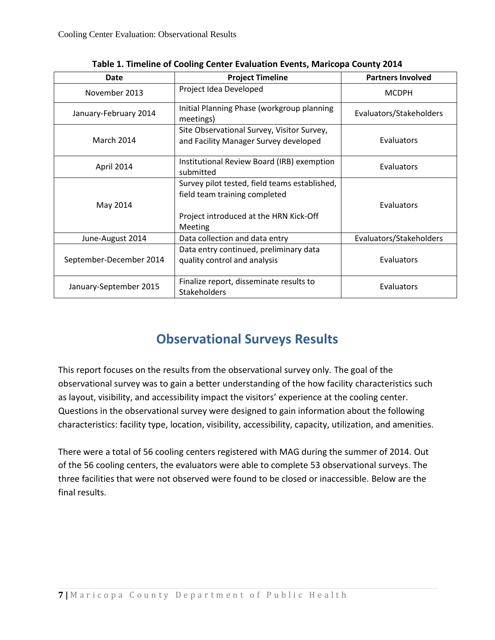| Date                    | <b>Project Timeline</b>                                                                                                             | <b>Partners Involved</b> |
|-------------------------|-------------------------------------------------------------------------------------------------------------------------------------|--------------------------|
| November 2013           | Project Idea Developed                                                                                                              | <b>MCDPH</b>             |
| January-February 2014   | Initial Planning Phase (workgroup planning<br>meetings)                                                                             | Evaluators/Stakeholders  |
| <b>March 2014</b>       | Site Observational Survey, Visitor Survey,<br>and Facility Manager Survey developed                                                 | Evaluators               |
| April 2014              | Institutional Review Board (IRB) exemption<br>submitted                                                                             | Evaluators               |
| May 2014                | Survey pilot tested, field teams established,<br>field team training completed<br>Project introduced at the HRN Kick-Off<br>Meeting | Evaluators               |
| June-August 2014        | Data collection and data entry                                                                                                      | Evaluators/Stakeholders  |
| September-December 2014 | Data entry continued, preliminary data<br>quality control and analysis                                                              | Evaluators               |
| January-September 2015  | Finalize report, disseminate results to<br><b>Stakeholders</b>                                                                      | Evaluators               |

**Table 1. Timeline of Cooling Center Evaluation Events, Maricopa County 2014**

# **Observational Surveys Results**

<span id="page-6-0"></span>This report focuses on the results from the observational survey only. The goal of the observational survey was to gain a better understanding of the how facility characteristics such as layout, visibility, and accessibility impact the visitors' experience at the cooling center. Questions in the observational survey were designed to gain information about the following characteristics: facility type, location, visibility, accessibility, capacity, utilization, and amenities.

There were a total of 56 cooling centers registered with MAG during the summer of 2014. Out of the 56 cooling centers, the evaluators were able to complete 53 observational surveys. The three facilities that were not observed were found to be closed or inaccessible. Below are the final results.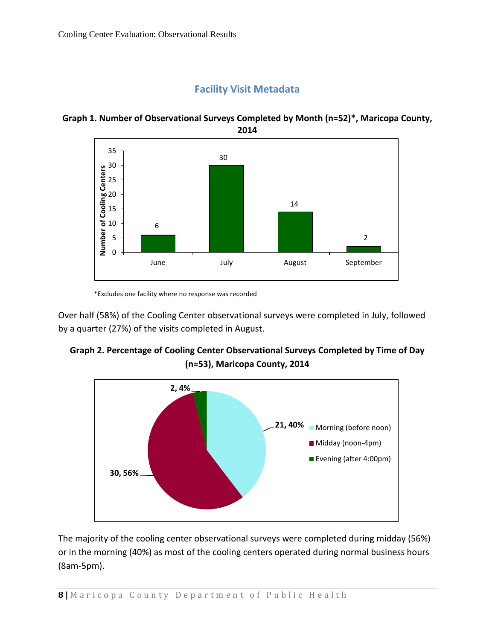## **Facility Visit Metadata**



<span id="page-7-0"></span>**Graph 1. Number of Observational Surveys Completed by Month (n=52)\*, Maricopa County, 2014**

\*Excludes one facility where no response was recorded

Over half (58%) of the Cooling Center observational surveys were completed in July, followed by a quarter (27%) of the visits completed in August.





The majority of the cooling center observational surveys were completed during midday (56%) or in the morning (40%) as most of the cooling centers operated during normal business hours (8am-5pm).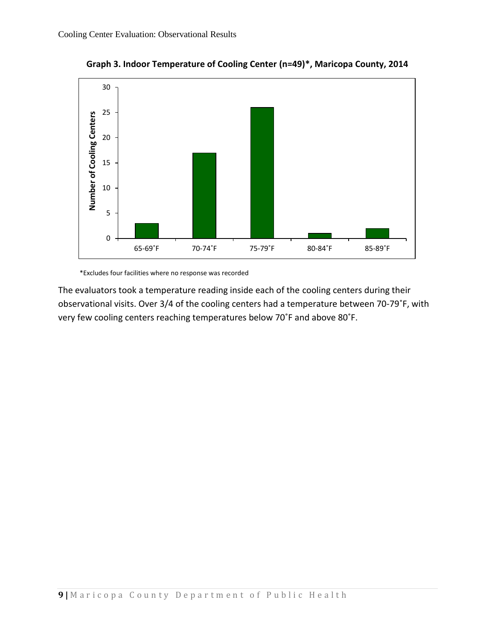

**Graph 3. Indoor Temperature of Cooling Center (n=49)\*, Maricopa County, 2014**

\*Excludes four facilities where no response was recorded

<span id="page-8-0"></span>The evaluators took a temperature reading inside each of the cooling centers during their observational visits. Over 3/4 of the cooling centers had a temperature between 70-79˚F, with very few cooling centers reaching temperatures below 70˚F and above 80˚F.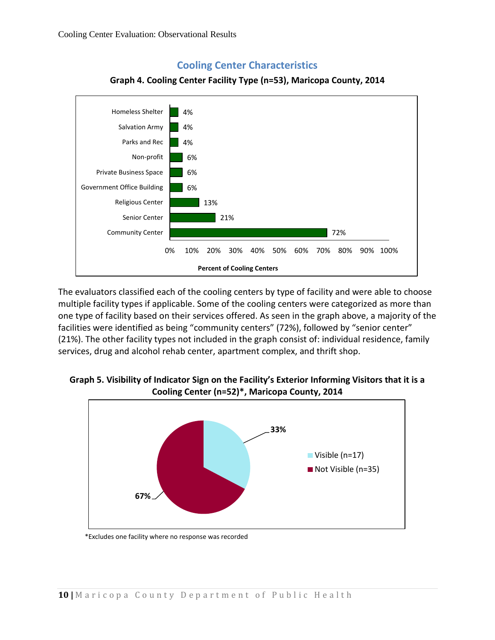

### **Cooling Center Characteristics**



The evaluators classified each of the cooling centers by type of facility and were able to choose multiple facility types if applicable. Some of the cooling centers were categorized as more than one type of facility based on their services offered. As seen in the graph above, a majority of the facilities were identified as being "community centers" (72%), followed by "senior center" (21%). The other facility types not included in the graph consist of: individual residence, family services, drug and alcohol rehab center, apartment complex, and thrift shop.

#### **Graph 5. Visibility of Indicator Sign on the Facility's Exterior Informing Visitors that it is a Cooling Center (n=52)\*, Maricopa County, 2014**



\*Excludes one facility where no response was recorded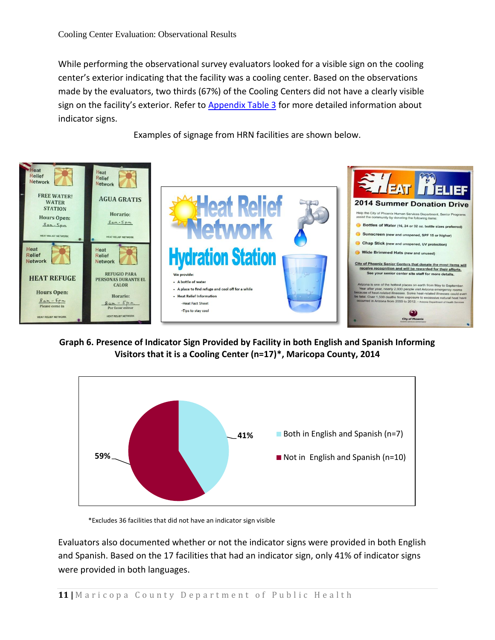While performing the observational survey evaluators looked for a visible sign on the cooling center's exterior indicating that the facility was a cooling center. Based on the observations made by the evaluators, two thirds (67%) of the Cooling Centers did not have a clearly visible sign on the facility's exterior. Refer to **Appendix Table 3** for more detailed information about indicator signs.

Examples of signage from HRN facilities are shown below.



**Graph 6. Presence of Indicator Sign Provided by Facility in both English and Spanish Informing Visitors that it is a Cooling Center (n=17)\*, Maricopa County, 2014**



\*Excludes 36 facilities that did not have an indicator sign visible

Evaluators also documented whether or not the indicator signs were provided in both English and Spanish. Based on the 17 facilities that had an indicator sign, only 41% of indicator signs were provided in both languages.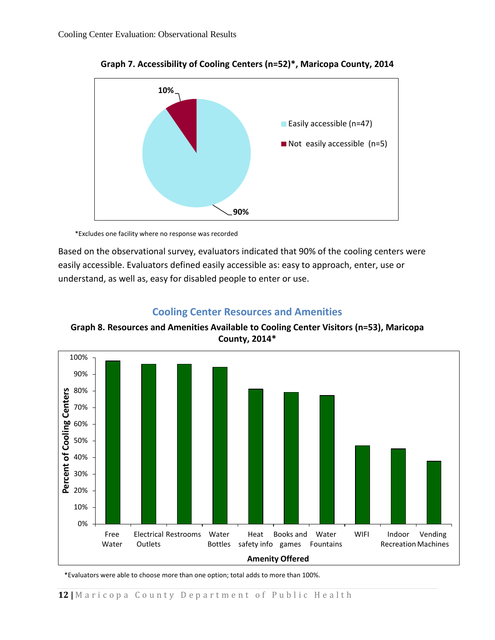

**Graph 7. Accessibility of Cooling Centers (n=52)\*, Maricopa County, 2014**

\*Excludes one facility where no response was recorded

Based on the observational survey, evaluators indicated that 90% of the cooling centers were easily accessible. Evaluators defined easily accessible as: easy to approach, enter, use or understand, as well as, easy for disabled people to enter or use.

## **Cooling Center Resources and Amenities**

<span id="page-11-0"></span>**Graph 8. Resources and Amenities Available to Cooling Center Visitors (n=53), Maricopa County, 2014\***



\*Evaluators were able to choose more than one option; total adds to more than 100%.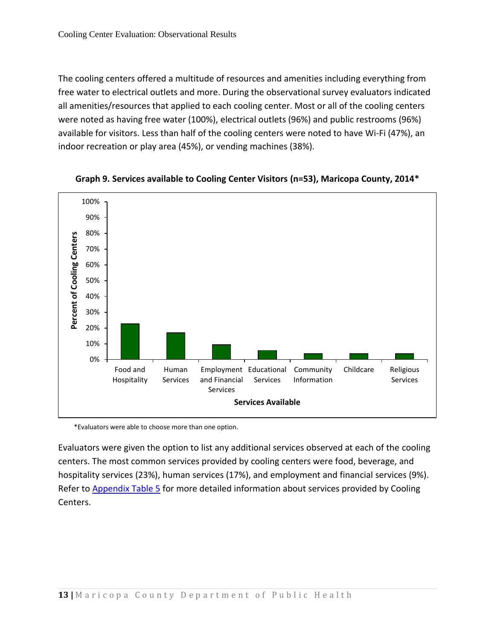The cooling centers offered a multitude of resources and amenities including everything from free water to electrical outlets and more. During the observational survey evaluators indicated all amenities/resources that applied to each cooling center. Most or all of the cooling centers were noted as having free water (100%), electrical outlets (96%) and public restrooms (96%) available for visitors. Less than half of the cooling centers were noted to have Wi-Fi (47%), an indoor recreation or play area (45%), or vending machines (38%).





\*Evaluators were able to choose more than one option.

Evaluators were given the option to list any additional services observed at each of the cooling centers. The most common services provided by cooling centers were food, beverage, and hospitality services (23%), human services (17%), and employment and financial services (9%). Refer to [Appendix Table 5](#page-22-0) for more detailed information about services provided by Cooling Centers.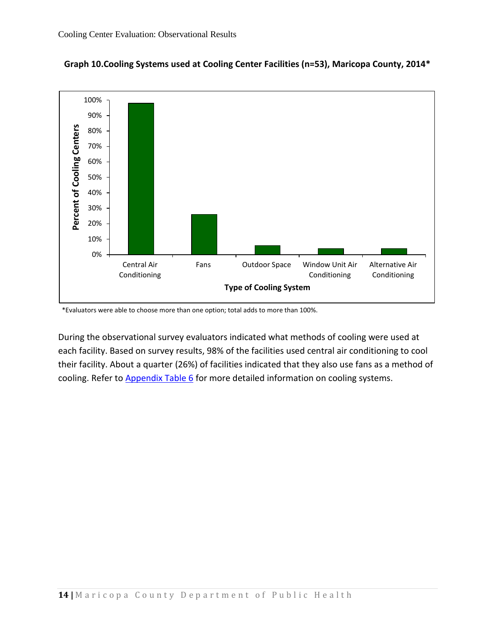

**Graph 10.Cooling Systems used at Cooling Center Facilities (n=53), Maricopa County, 2014\***

\*Evaluators were able to choose more than one option; total adds to more than 100%.

During the observational survey evaluators indicated what methods of cooling were used at each facility. Based on survey results, 98% of the facilities used central air conditioning to cool their facility. About a quarter (26%) of facilities indicated that they also use fans as a method of cooling. Refer to [Appendix Table 6](#page-22-1) for more detailed information on cooling systems.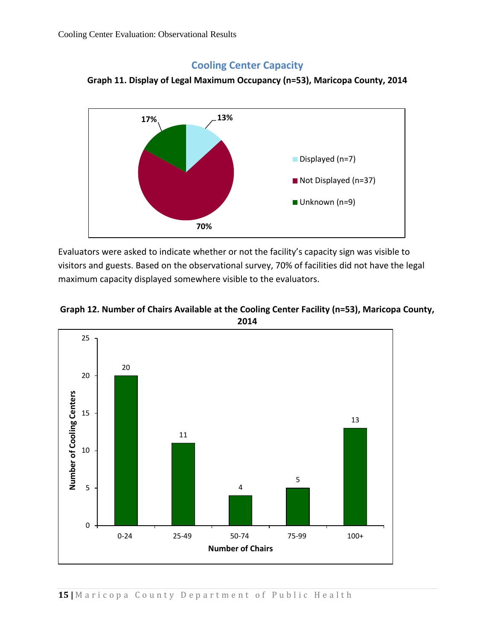## **Cooling Center Capacity**

<span id="page-14-0"></span>



Evaluators were asked to indicate whether or not the facility's capacity sign was visible to visitors and guests. Based on the observational survey, 70% of facilities did not have the legal maximum capacity displayed somewhere visible to the evaluators.



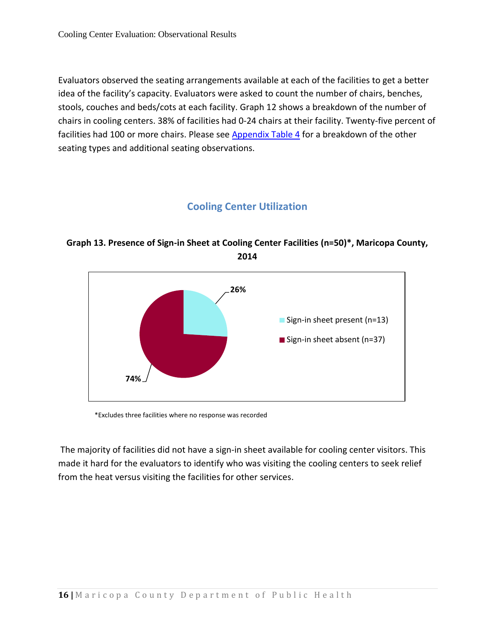Evaluators observed the seating arrangements available at each of the facilities to get a better idea of the facility's capacity. Evaluators were asked to count the number of chairs, benches, stools, couches and beds/cots at each facility. Graph 12 shows a breakdown of the number of chairs in cooling centers. 38% of facilities had 0-24 chairs at their facility. Twenty-five percent of facilities had 100 or more chairs. Please see **Appendix Table 4** for a breakdown of the other seating types and additional seating observations.

# **Cooling Center Utilization**

## <span id="page-15-0"></span>**Graph 13. Presence of Sign-in Sheet at Cooling Center Facilities (n=50)\*, Maricopa County, 2014**



\*Excludes three facilities where no response was recorded

The majority of facilities did not have a sign-in sheet available for cooling center visitors. This made it hard for the evaluators to identify who was visiting the cooling centers to seek relief from the heat versus visiting the facilities for other services.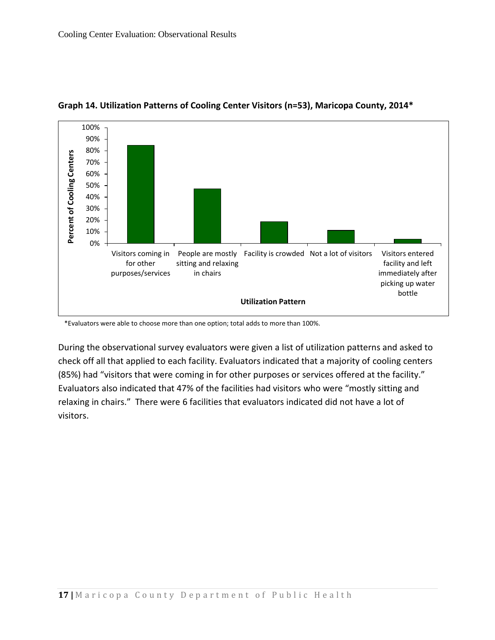

#### **Graph 14. Utilization Patterns of Cooling Center Visitors (n=53), Maricopa County, 2014\***

\*Evaluators were able to choose more than one option; total adds to more than 100%.

During the observational survey evaluators were given a list of utilization patterns and asked to check off all that applied to each facility. Evaluators indicated that a majority of cooling centers (85%) had "visitors that were coming in for other purposes or services offered at the facility." Evaluators also indicated that 47% of the facilities had visitors who were "mostly sitting and relaxing in chairs." There were 6 facilities that evaluators indicated did not have a lot of visitors.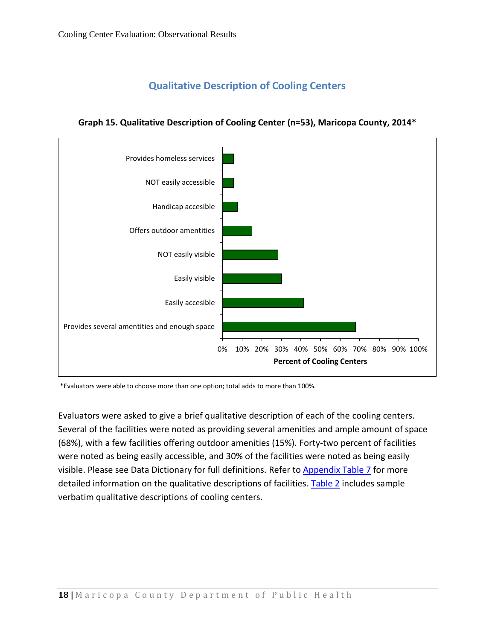# **Qualitative Description of Cooling Centers**



<span id="page-17-0"></span>**Graph 15. Qualitative Description of Cooling Center (n=53), Maricopa County, 2014\***

\*Evaluators were able to choose more than one option; total adds to more than 100%.

Evaluators were asked to give a brief qualitative description of each of the cooling centers. Several of the facilities were noted as providing several amenities and ample amount of space (68%), with a few facilities offering outdoor amenities (15%). Forty-two percent of facilities were noted as being easily accessible, and 30% of the facilities were noted as being easily visible. Please see Data Dictionary for full definitions. Refer to [Appendix Table 7](#page-22-2) for more detailed information on the qualitative descriptions of facilities. [Table 2](#page-18-1) includes sample verbatim qualitative descriptions of cooling centers.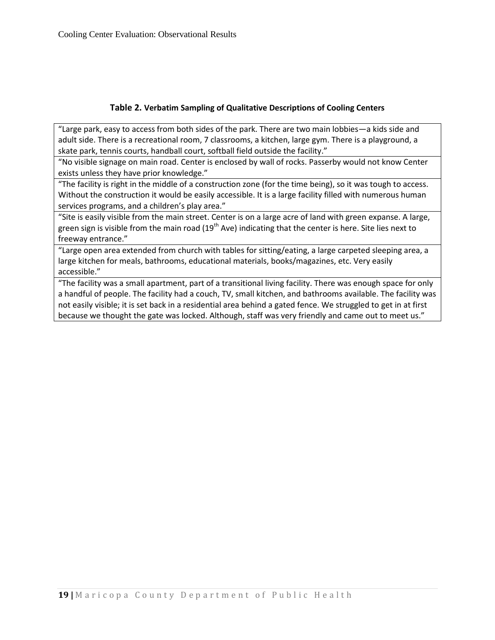#### **Table 2. Verbatim Sampling of Qualitative Descriptions of Cooling Centers**

<span id="page-18-1"></span>"Large park, easy to access from both sides of the park. There are two main lobbies—a kids side and adult side. There is a recreational room, 7 classrooms, a kitchen, large gym. There is a playground, a skate park, tennis courts, handball court, softball field outside the facility."

"No visible signage on main road. Center is enclosed by wall of rocks. Passerby would not know Center exists unless they have prior knowledge."

"The facility is right in the middle of a construction zone (for the time being), so it was tough to access. Without the construction it would be easily accessible. It is a large facility filled with numerous human services programs, and a children's play area."

"Site is easily visible from the main street. Center is on a large acre of land with green expanse. A large, green sign is visible from the main road  $(19<sup>th</sup>$  Ave) indicating that the center is here. Site lies next to freeway entrance."

"Large open area extended from church with tables for sitting/eating, a large carpeted sleeping area, a large kitchen for meals, bathrooms, educational materials, books/magazines, etc. Very easily accessible."

<span id="page-18-0"></span>"The facility was a small apartment, part of a transitional living facility. There was enough space for only a handful of people. The facility had a couch, TV, small kitchen, and bathrooms available. The facility was not easily visible; it is set back in a residential area behind a gated fence. We struggled to get in at first because we thought the gate was locked. Although, staff was very friendly and came out to meet us."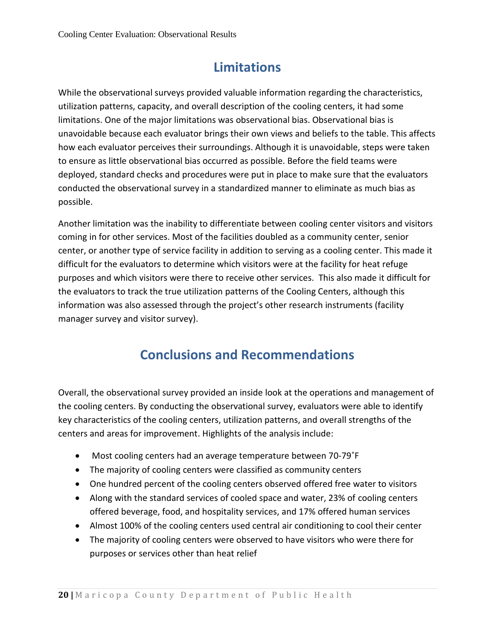# **Limitations**

While the observational surveys provided valuable information regarding the characteristics, utilization patterns, capacity, and overall description of the cooling centers, it had some limitations. One of the major limitations was observational bias. Observational bias is unavoidable because each evaluator brings their own views and beliefs to the table. This affects how each evaluator perceives their surroundings. Although it is unavoidable, steps were taken to ensure as little observational bias occurred as possible. Before the field teams were deployed, standard checks and procedures were put in place to make sure that the evaluators conducted the observational survey in a standardized manner to eliminate as much bias as possible.

Another limitation was the inability to differentiate between cooling center visitors and visitors coming in for other services. Most of the facilities doubled as a community center, senior center, or another type of service facility in addition to serving as a cooling center. This made it difficult for the evaluators to determine which visitors were at the facility for heat refuge purposes and which visitors were there to receive other services. This also made it difficult for the evaluators to track the true utilization patterns of the Cooling Centers, although this information was also assessed through the project's other research instruments (facility manager survey and visitor survey).

# **Conclusions and Recommendations**

<span id="page-19-0"></span>Overall, the observational survey provided an inside look at the operations and management of the cooling centers. By conducting the observational survey, evaluators were able to identify key characteristics of the cooling centers, utilization patterns, and overall strengths of the centers and areas for improvement. Highlights of the analysis include:

- Most cooling centers had an average temperature between 70-79˚F
- The majority of cooling centers were classified as community centers
- One hundred percent of the cooling centers observed offered free water to visitors
- Along with the standard services of cooled space and water, 23% of cooling centers offered beverage, food, and hospitality services, and 17% offered human services
- Almost 100% of the cooling centers used central air conditioning to cool their center
- The majority of cooling centers were observed to have visitors who were there for purposes or services other than heat relief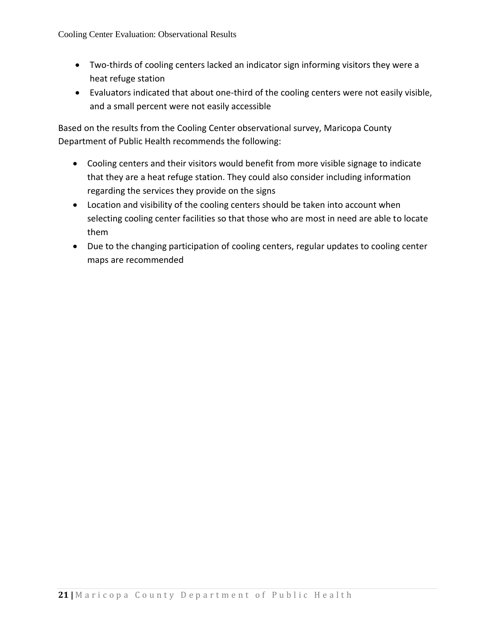- Two-thirds of cooling centers lacked an indicator sign informing visitors they were a heat refuge station
- Evaluators indicated that about one-third of the cooling centers were not easily visible, and a small percent were not easily accessible

Based on the results from the Cooling Center observational survey, Maricopa County Department of Public Health recommends the following:

- Cooling centers and their visitors would benefit from more visible signage to indicate that they are a heat refuge station. They could also consider including information regarding the services they provide on the signs
- Location and visibility of the cooling centers should be taken into account when selecting cooling center facilities so that those who are most in need are able to locate them
- Due to the changing participation of cooling centers, regular updates to cooling center maps are recommended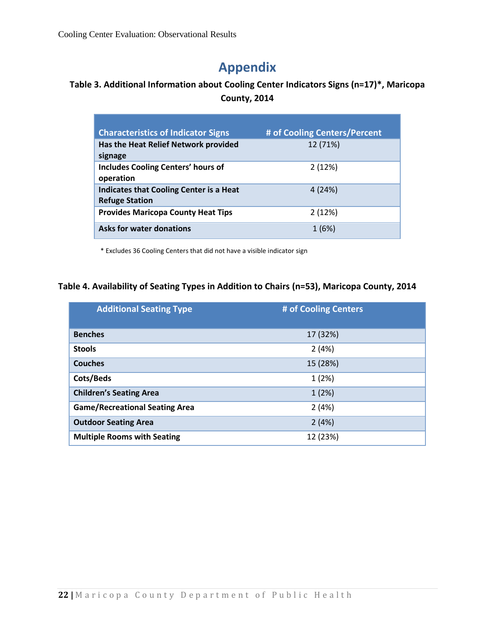# **Appendix**

## <span id="page-21-2"></span><span id="page-21-0"></span>**Table 3. Additional Information about Cooling Center Indicators Signs (n=17)\*, Maricopa County, 2014**

| <b>Characteristics of Indicator Signs</b>                               | # of Cooling Centers/Percent |
|-------------------------------------------------------------------------|------------------------------|
| Has the Heat Relief Network provided<br>signage                         | 12 (71%)                     |
| <b>Includes Cooling Centers' hours of</b><br>operation                  | 2(12%)                       |
| <b>Indicates that Cooling Center is a Heat</b><br><b>Refuge Station</b> | 4(24%)                       |
| <b>Provides Maricopa County Heat Tips</b>                               | 2(12%)                       |
| Asks for water donations                                                | 1(6%)                        |

\* Excludes 36 Cooling Centers that did not have a visible indicator sign

### <span id="page-21-3"></span>**Table 4. Availability of Seating Types in Addition to Chairs (n=53), Maricopa County, 2014**

<span id="page-21-1"></span>

| <b>Additional Seating Type</b>        | # of Cooling Centers |
|---------------------------------------|----------------------|
| <b>Benches</b>                        | 17 (32%)             |
| <b>Stools</b>                         | 2(4%)                |
| <b>Couches</b>                        | 15 (28%)             |
| Cots/Beds                             | 1(2%)                |
| <b>Children's Seating Area</b>        | 1(2%)                |
| <b>Game/Recreational Seating Area</b> | 2(4%)                |
| <b>Outdoor Seating Area</b>           | 2(4%)                |
| <b>Multiple Rooms with Seating</b>    | 12 (23%)             |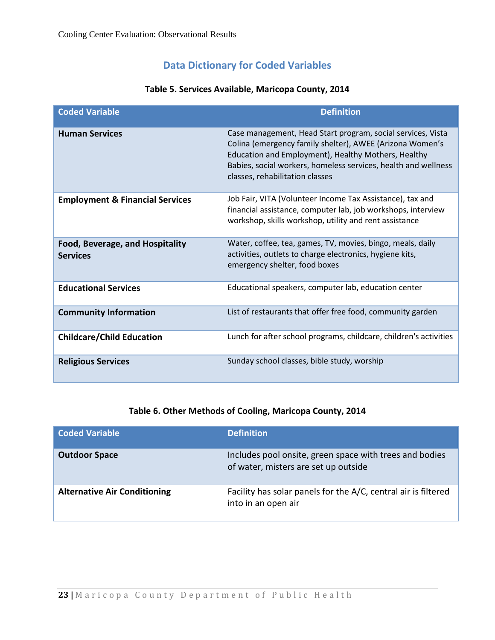## **Data Dictionary for Coded Variables**

<span id="page-22-0"></span>

| <b>Coded Variable</b>                              | <b>Definition</b>                                                                                                                                                                                                                                                                   |
|----------------------------------------------------|-------------------------------------------------------------------------------------------------------------------------------------------------------------------------------------------------------------------------------------------------------------------------------------|
| <b>Human Services</b>                              | Case management, Head Start program, social services, Vista<br>Colina (emergency family shelter), AWEE (Arizona Women's<br>Education and Employment), Healthy Mothers, Healthy<br>Babies, social workers, homeless services, health and wellness<br>classes, rehabilitation classes |
| <b>Employment &amp; Financial Services</b>         | Job Fair, VITA (Volunteer Income Tax Assistance), tax and<br>financial assistance, computer lab, job workshops, interview<br>workshop, skills workshop, utility and rent assistance                                                                                                 |
| Food, Beverage, and Hospitality<br><b>Services</b> | Water, coffee, tea, games, TV, movies, bingo, meals, daily<br>activities, outlets to charge electronics, hygiene kits,<br>emergency shelter, food boxes                                                                                                                             |
| <b>Educational Services</b>                        | Educational speakers, computer lab, education center                                                                                                                                                                                                                                |
| <b>Community Information</b>                       | List of restaurants that offer free food, community garden                                                                                                                                                                                                                          |
| <b>Childcare/Child Education</b>                   | Lunch for after school programs, childcare, children's activities                                                                                                                                                                                                                   |
| <b>Religious Services</b>                          | Sunday school classes, bible study, worship                                                                                                                                                                                                                                         |

#### **Table 5. Services Available, Maricopa County, 2014**

## **Table 6. Other Methods of Cooling, Maricopa County, 2014**

<span id="page-22-2"></span><span id="page-22-1"></span>

| <b>Coded Variable</b>               | <b>Definition</b>                                                                               |
|-------------------------------------|-------------------------------------------------------------------------------------------------|
| <b>Outdoor Space</b>                | Includes pool onsite, green space with trees and bodies<br>of water, misters are set up outside |
| <b>Alternative Air Conditioning</b> | Facility has solar panels for the A/C, central air is filtered<br>into in an open air           |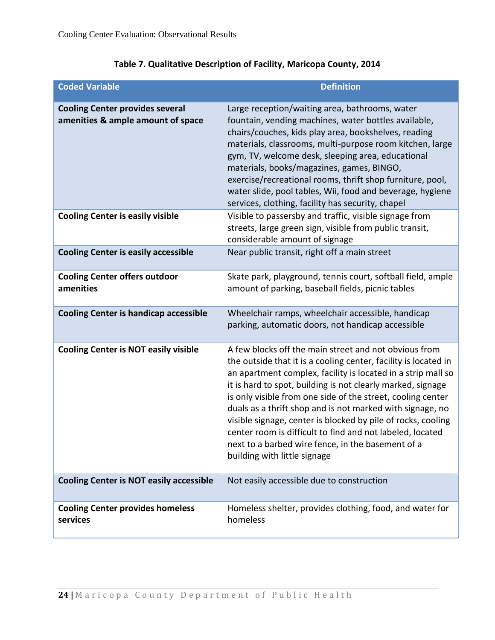| <b>Coded Variable</b>                                                       | <b>Definition</b>                                                                                                                                                                                                                                                                                                                                                                                                                                                                                                                                                                                     |
|-----------------------------------------------------------------------------|-------------------------------------------------------------------------------------------------------------------------------------------------------------------------------------------------------------------------------------------------------------------------------------------------------------------------------------------------------------------------------------------------------------------------------------------------------------------------------------------------------------------------------------------------------------------------------------------------------|
| <b>Cooling Center provides several</b><br>amenities & ample amount of space | Large reception/waiting area, bathrooms, water<br>fountain, vending machines, water bottles available,<br>chairs/couches, kids play area, bookshelves, reading<br>materials, classrooms, multi-purpose room kitchen, large<br>gym, TV, welcome desk, sleeping area, educational<br>materials, books/magazines, games, BINGO,<br>exercise/recreational rooms, thrift shop furniture, pool,<br>water slide, pool tables, Wii, food and beverage, hygiene<br>services, clothing, facility has security, chapel                                                                                           |
| <b>Cooling Center is easily visible</b>                                     | Visible to passersby and traffic, visible signage from<br>streets, large green sign, visible from public transit,<br>considerable amount of signage                                                                                                                                                                                                                                                                                                                                                                                                                                                   |
| <b>Cooling Center is easily accessible</b>                                  | Near public transit, right off a main street                                                                                                                                                                                                                                                                                                                                                                                                                                                                                                                                                          |
| <b>Cooling Center offers outdoor</b><br>amenities                           | Skate park, playground, tennis court, softball field, ample<br>amount of parking, baseball fields, picnic tables                                                                                                                                                                                                                                                                                                                                                                                                                                                                                      |
| <b>Cooling Center is handicap accessible</b>                                | Wheelchair ramps, wheelchair accessible, handicap<br>parking, automatic doors, not handicap accessible                                                                                                                                                                                                                                                                                                                                                                                                                                                                                                |
| <b>Cooling Center is NOT easily visible</b>                                 | A few blocks off the main street and not obvious from<br>the outside that it is a cooling center, facility is located in<br>an apartment complex, facility is located in a strip mall so<br>it is hard to spot, building is not clearly marked, signage<br>is only visible from one side of the street, cooling center<br>duals as a thrift shop and is not marked with signage, no<br>visible signage, center is blocked by pile of rocks, cooling<br>center room is difficult to find and not labeled, located<br>next to a barbed wire fence, in the basement of a<br>building with little signage |
| <b>Cooling Center is NOT easily accessible</b>                              | Not easily accessible due to construction                                                                                                                                                                                                                                                                                                                                                                                                                                                                                                                                                             |
| <b>Cooling Center provides homeless</b><br>services                         | Homeless shelter, provides clothing, food, and water for<br>homeless                                                                                                                                                                                                                                                                                                                                                                                                                                                                                                                                  |

## **Table 7. Qualitative Description of Facility, Maricopa County, 2014**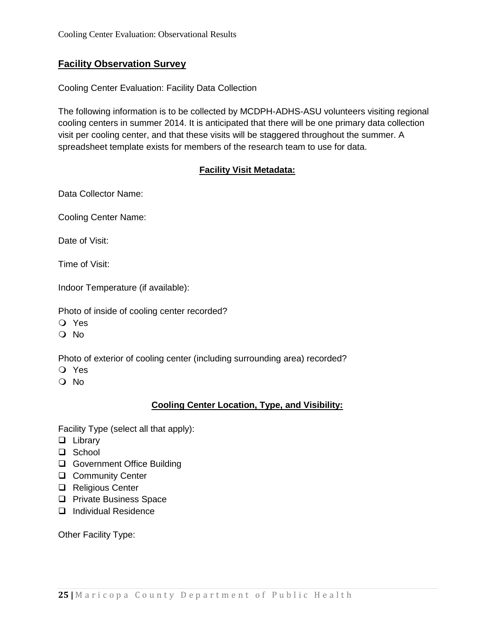### **Facility Observation Survey**

Cooling Center Evaluation: Facility Data Collection

The following information is to be collected by MCDPH-ADHS-ASU volunteers visiting regional cooling centers in summer 2014. It is anticipated that there will be one primary data collection visit per cooling center, and that these visits will be staggered throughout the summer. A spreadsheet template exists for members of the research team to use for data.

#### **Facility Visit Metadata:**

Data Collector Name:

Cooling Center Name:

Date of Visit:

Time of Visit:

Indoor Temperature (if available):

Photo of inside of cooling center recorded?

- Yes
- O No

Photo of exterior of cooling center (including surrounding area) recorded?

- Yes
- No

### **Cooling Center Location, Type, and Visibility:**

Facility Type (select all that apply):

- **Library**
- □ School
- □ Government Office Building
- **Q** Community Center
- □ Religious Center
- **Q** Private Business Space
- Individual Residence

Other Facility Type: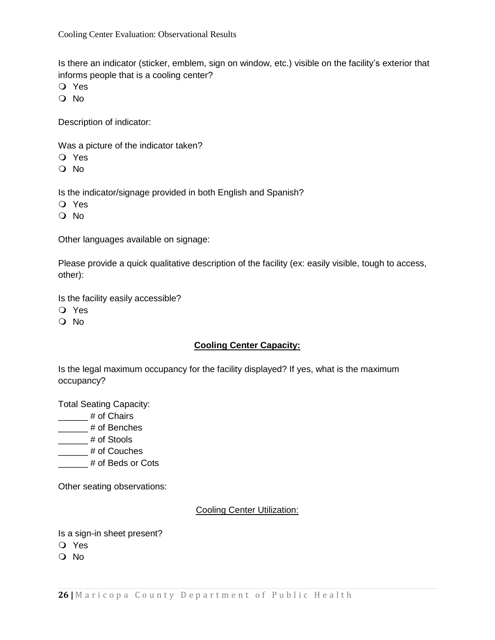Is there an indicator (sticker, emblem, sign on window, etc.) visible on the facility's exterior that informs people that is a cooling center?

- Yes
- No

Description of indicator:

Was a picture of the indicator taken?

- Yes
- No

Is the indicator/signage provided in both English and Spanish?

- Yes
- O No

Other languages available on signage:

Please provide a quick qualitative description of the facility (ex: easily visible, tough to access, other):

Is the facility easily accessible?

- Yes
- O No

### **Cooling Center Capacity:**

Is the legal maximum occupancy for the facility displayed? If yes, what is the maximum occupancy?

Total Seating Capacity:

\_\_\_\_\_\_ # of Chairs

\_\_\_\_\_\_ # of Benches

\_\_\_\_\_\_ # of Stools

\_\_\_\_\_\_ # of Couches

**\_\_\_\_\_\_#** of Beds or Cots

Other seating observations:

#### Cooling Center Utilization:

Is a sign-in sheet present?

- Yes
- O No